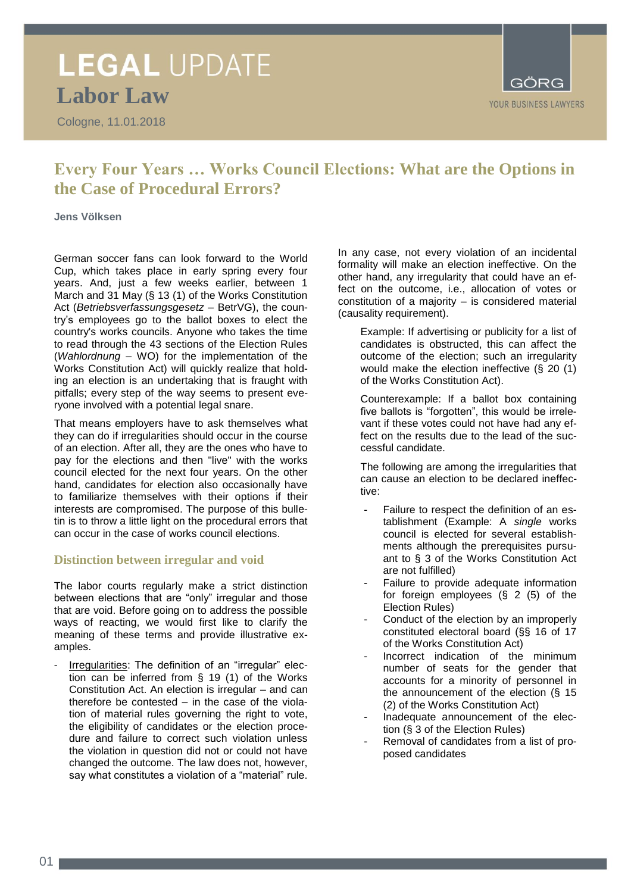### **LEGAL UPDATE Labor Law**

Cologne, 11.01.2018



### **Every Four Years … Works Council Elections: What are the Options in the Case of Procedural Errors?**

**Jens Völksen**

German soccer fans can look forward to the World Cup, which takes place in early spring every four years. And, just a few weeks earlier, between 1 March and 31 May (§ 13 (1) of the Works Constitution Act (*Betriebsverfassungsgesetz* – BetrVG), the country's employees go to the ballot boxes to elect the country's works councils. Anyone who takes the time to read through the 43 sections of the Election Rules (*Wahlordnung* – WO) for the implementation of the Works Constitution Act) will quickly realize that holding an election is an undertaking that is fraught with pitfalls; every step of the way seems to present everyone involved with a potential legal snare.

That means employers have to ask themselves what they can do if irregularities should occur in the course of an election. After all, they are the ones who have to pay for the elections and then "live" with the works council elected for the next four years. On the other hand, candidates for election also occasionally have to familiarize themselves with their options if their interests are compromised. The purpose of this bulletin is to throw a little light on the procedural errors that can occur in the case of works council elections.

### **Distinction between irregular and void**

The labor courts regularly make a strict distinction between elections that are "only" irregular and those that are void. Before going on to address the possible ways of reacting, we would first like to clarify the meaning of these terms and provide illustrative examples.

Irregularities: The definition of an "irregular" election can be inferred from § 19 (1) of the Works Constitution Act. An election is irregular – and can therefore be contested – in the case of the violation of material rules governing the right to vote, the eligibility of candidates or the election procedure and failure to correct such violation unless the violation in question did not or could not have changed the outcome. The law does not, however, say what constitutes a violation of a "material" rule.

In any case, not every violation of an incidental formality will make an election ineffective. On the other hand, any irregularity that could have an effect on the outcome, i.e., allocation of votes or constitution of a majority – is considered material (causality requirement).

Example: If advertising or publicity for a list of candidates is obstructed, this can affect the outcome of the election; such an irregularity would make the election ineffective (§ 20 (1) of the Works Constitution Act).

Counterexample: If a ballot box containing five ballots is "forgotten", this would be irrelevant if these votes could not have had any effect on the results due to the lead of the successful candidate.

The following are among the irregularities that can cause an election to be declared ineffective:

- Failure to respect the definition of an establishment (Example: A *single* works council is elected for several establishments although the prerequisites pursuant to § 3 of the Works Constitution Act are not fulfilled)
- Failure to provide adequate information for foreign employees (§ 2 (5) of the Election Rules)
- Conduct of the election by an improperly constituted electoral board (§§ 16 of 17 of the Works Constitution Act)
- Incorrect indication of the minimum number of seats for the gender that accounts for a minority of personnel in the announcement of the election (§ 15 (2) of the Works Constitution Act)
- Inadequate announcement of the election (§ 3 of the Election Rules)
- Removal of candidates from a list of proposed candidates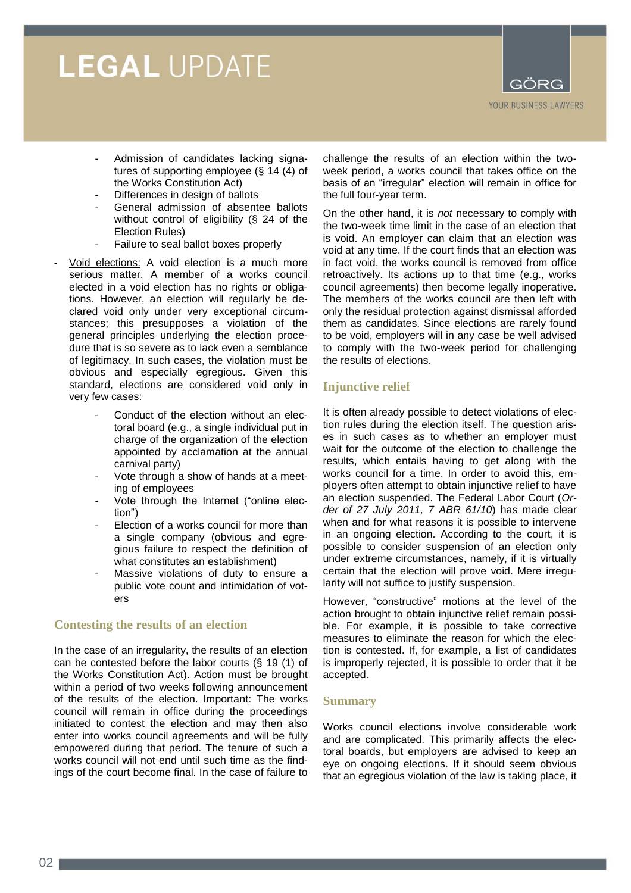# **LEGAL UPDATE**



- Admission of candidates lacking signatures of supporting employee (§ 14 (4) of the Works Constitution Act)
- Differences in design of ballots
- General admission of absentee ballots without control of eligibility (§ 24 of the Election Rules)
- Failure to seal ballot boxes properly
- Void elections: A void election is a much more serious matter. A member of a works council elected in a void election has no rights or obligations. However, an election will regularly be declared void only under very exceptional circumstances; this presupposes a violation of the general principles underlying the election procedure that is so severe as to lack even a semblance of legitimacy. In such cases, the violation must be obvious and especially egregious. Given this standard, elections are considered void only in very few cases:
	- Conduct of the election without an electoral board (e.g., a single individual put in charge of the organization of the election appointed by acclamation at the annual carnival party)
	- Vote through a show of hands at a meeting of employees
	- Vote through the Internet ("online election")
	- Election of a works council for more than a single company (obvious and egregious failure to respect the definition of what constitutes an establishment)
	- Massive violations of duty to ensure a public vote count and intimidation of voters

### **Contesting the results of an election**

In the case of an irregularity, the results of an election can be contested before the labor courts (§ 19 (1) of the Works Constitution Act). Action must be brought within a period of two weeks following announcement of the results of the election. Important: The works council will remain in office during the proceedings initiated to contest the election and may then also enter into works council agreements and will be fully empowered during that period. The tenure of such a works council will not end until such time as the findings of the court become final. In the case of failure to

challenge the results of an election within the twoweek period, a works council that takes office on the basis of an "irregular" election will remain in office for the full four-year term.

On the other hand, it is *not* necessary to comply with the two-week time limit in the case of an election that is void. An employer can claim that an election was void at any time. If the court finds that an election was in fact void, the works council is removed from office retroactively. Its actions up to that time (e.g., works council agreements) then become legally inoperative. The members of the works council are then left with only the residual protection against dismissal afforded them as candidates. Since elections are rarely found to be void, employers will in any case be well advised to comply with the two-week period for challenging the results of elections.

### **Injunctive relief**

It is often already possible to detect violations of election rules during the election itself. The question arises in such cases as to whether an employer must wait for the outcome of the election to challenge the results, which entails having to get along with the works council for a time. In order to avoid this, employers often attempt to obtain injunctive relief to have an election suspended. The Federal Labor Court (*Order of 27 July 2011, 7 ABR 61/10*) has made clear when and for what reasons it is possible to intervene in an ongoing election. According to the court, it is possible to consider suspension of an election only under extreme circumstances, namely, if it is virtually certain that the election will prove void. Mere irregularity will not suffice to justify suspension.

However, "constructive" motions at the level of the action brought to obtain injunctive relief remain possible. For example, it is possible to take corrective measures to eliminate the reason for which the election is contested. If, for example, a list of candidates is improperly rejected, it is possible to order that it be accepted.

### **Summary**

Works council elections involve considerable work and are complicated. This primarily affects the electoral boards, but employers are advised to keep an eye on ongoing elections. If it should seem obvious that an egregious violation of the law is taking place, it